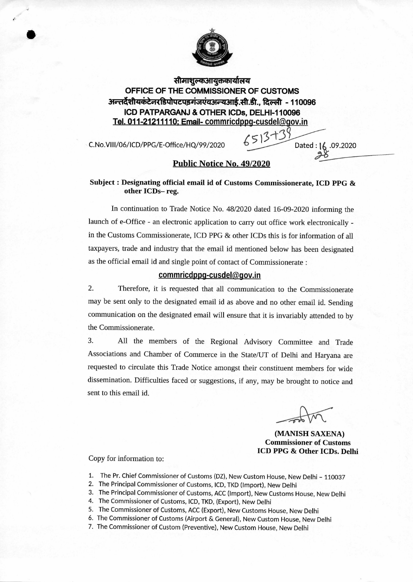

**Tftsrri - -th-wrzfrazr OFFICE OF THE COMMISSIONER OF CUSTOMS अन्तर्देशीयकंटेनरडिपोपटपडगंजएंवअन्यआई.सी.डी., दिल्ली - 110096 ICD PATPARGANJ & OTHER ICDs, DELHI-110096 Tel. 011-21211110: Email- commricdppg-cusdel(@gov.in** 

C. No. VIII/06/ICD/PPG/E-Office/HQ/99/2020 **6 511** Dated : 16 .09.2020

•<br>●

## **Public Notice No. 49/2020**

## **Subject : Designating official email id of Customs Commissionerate, ICD PPG & other ICDs— reg.**

In continuation to Trade Notice No. 48/2020 dated 16-09-2020 informing the launch of e-Office - an electronic application to carry out office work electronically in the Customs Commissionerate, ICD PPG & other ICDs this is for information of all taxpayers, trade and industry that the email id mentioned below has been designated as the official email id and single point of contact of Commissionerate :

## commricdppg-cusdel@gov.in

2. Therefore, it is requested that all communication to the Commissionerate may be sent only to the designated email id as above and no other email id. Sending communication on the designated email will ensure that it is invariably attended to by the Commissionerate.

3. All the members of the Regional Advisory Committee and Trade Associations and Chamber of Commerce in the State/UT of Delhi and Haryana are requested to circulate this Trade Notice amongst their constituent members for wide dissemination. Difficulties faced or suggestions, if any, may be brought to notice and sent to this email id.

**(MANISH SAXENA) Commissioner of Customs ICD PPG & Other ICDs. Delhi** 

## Copy for information to:

- 1. The Pr. Chief Commissioner of Customs (DZ), New Custom House, New Delhi 110037
- 2. The Principal Commissioner of Customs, ICD, TKD (Import), New Delhi
- 3. The Principal Commissioner of Customs, ACC (Import), New Customs House, New Delhi
- 4. The Commissioner of Customs, ICD, TKD, (Export), New Delhi
- 5. The Commissioner of Customs, ACC (Export), New Customs House, New Delhi
- 6. The Commissioner of Customs (Airport & General), New Custom House, New Delhi
- 7. The Commissioner of Custom (Preventive), New Custom House, New Delhi